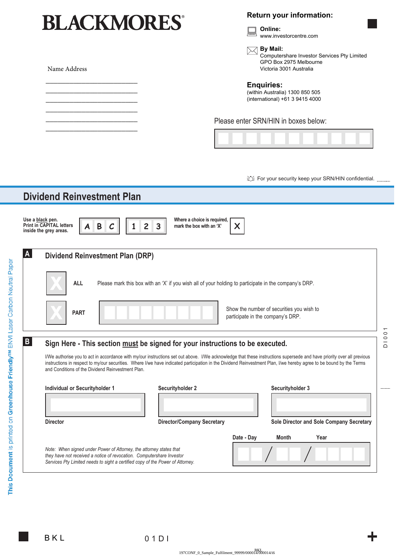# **BLACKMORES®**

#### **Return your information:**



**By Mail:** Computershare Investor Services Pty Limited GPO Box 2975 Melbourne Victoria 3001 Australia

Name Address

\_\_\_\_\_\_\_\_\_\_\_\_\_\_\_\_\_\_\_\_\_\_\_ \_\_\_\_\_\_\_\_\_\_\_\_\_\_\_\_\_\_\_\_\_\_\_ \_\_\_\_\_\_\_\_\_\_\_\_\_\_\_\_\_\_\_\_\_\_\_ \_\_\_\_\_\_\_\_\_\_\_\_\_\_\_\_\_\_\_\_\_\_\_ \_\_\_\_\_\_\_\_\_\_\_\_\_\_\_\_\_\_\_\_\_\_\_ \_\_\_\_\_\_\_\_\_\_\_\_\_\_\_\_\_\_\_\_\_\_\_

**Enquiries:**

(within Australia) 1300 850 505 (international) +61 3 9415 4000

Please enter SRN/HIN in boxes below:



让 For your security keep your SRN/HIN confidential. ..........

|                                                                                               | <b>Dividend Reinvestment Plan</b>                                                                                                                                                                                              |                                                                                                                                                                                                                                                                                                                                               |                                                      |  |
|-----------------------------------------------------------------------------------------------|--------------------------------------------------------------------------------------------------------------------------------------------------------------------------------------------------------------------------------|-----------------------------------------------------------------------------------------------------------------------------------------------------------------------------------------------------------------------------------------------------------------------------------------------------------------------------------------------|------------------------------------------------------|--|
|                                                                                               | Use a black pen.<br><b>Print in CAPITAL letters</b><br>B<br>$\overline{c}$<br>3<br>$\mathcal C$<br>inside the grey areas.                                                                                                      | Where a choice is required,<br>X<br>mark the box with an 'X'                                                                                                                                                                                                                                                                                  |                                                      |  |
|                                                                                               | A<br><b>Dividend Reinvestment Plan (DRP)</b>                                                                                                                                                                                   |                                                                                                                                                                                                                                                                                                                                               |                                                      |  |
|                                                                                               | <b>ALL</b><br>Please mark this box with an 'X' if you wish all of your holding to participate in the company's DRP.                                                                                                            |                                                                                                                                                                                                                                                                                                                                               |                                                      |  |
|                                                                                               | <b>PART</b>                                                                                                                                                                                                                    | participate in the company's DRP.                                                                                                                                                                                                                                                                                                             | Show the number of securities you wish to            |  |
| $\mathbf{B}$<br>Sign Here - This section must be signed for your instructions to be executed. |                                                                                                                                                                                                                                |                                                                                                                                                                                                                                                                                                                                               | $\overline{\phantom{0}}$<br>$\circ$<br>$\frac{1}{2}$ |  |
|                                                                                               | and Conditions of the Dividend Reinvestment Plan.                                                                                                                                                                              | I/We authorise you to act in accordance with my/our instructions set out above. I/We acknowledge that these instructions supersede and have priority over all previous<br>instructions in respect to my/our securities. Where I/we have indicated participation in the Dividend Reinvestment Plan, I/we hereby agree to be bound by the Terms |                                                      |  |
|                                                                                               | Individual or Securityholder 1                                                                                                                                                                                                 | Securityholder 2                                                                                                                                                                                                                                                                                                                              | Securityholder 3                                     |  |
|                                                                                               | <b>Director</b>                                                                                                                                                                                                                | <b>Director/Company Secretary</b>                                                                                                                                                                                                                                                                                                             | Sole Director and Sole Company Secretary             |  |
|                                                                                               |                                                                                                                                                                                                                                |                                                                                                                                                                                                                                                                                                                                               | Year                                                 |  |
|                                                                                               | Note: When signed under Power of Attorney, the attorney states that<br>they have not received a notice of revocation. Computershare Investor<br>Services Pty Limited needs to sight a certified copy of the Power of Attorney. | Date - Day                                                                                                                                                                                                                                                                                                                                    | <b>Month</b>                                         |  |